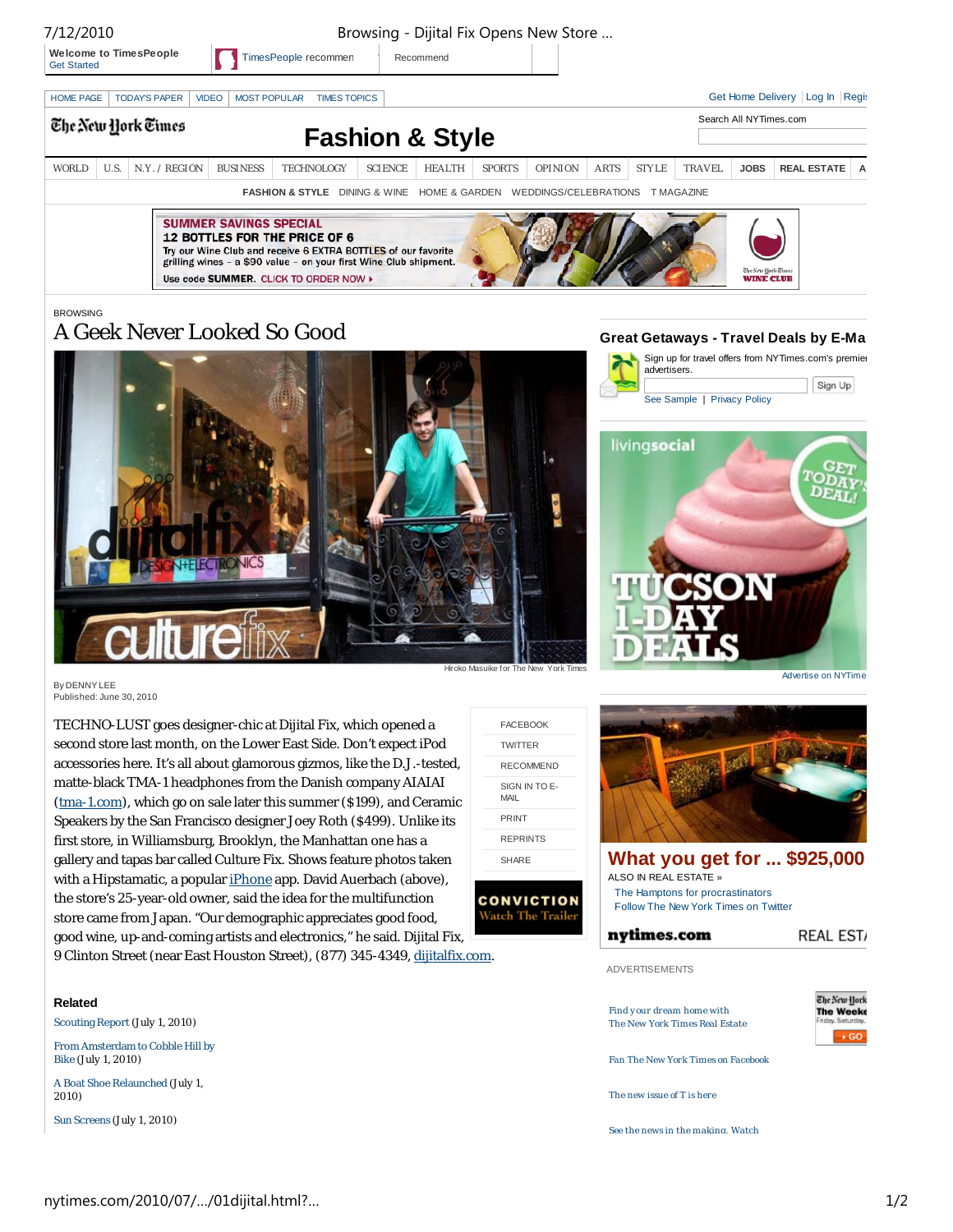| ,, , , , , , , , ,                                  |      |                      |                                     |                                                                                                                                                                                                                     |                |                                                   |               | <b>Browsing</b> Bijitar in Opens <b>Rew Store</b> |             |              |               |                                                                     |                                    |
|-----------------------------------------------------|------|----------------------|-------------------------------------|---------------------------------------------------------------------------------------------------------------------------------------------------------------------------------------------------------------------|----------------|---------------------------------------------------|---------------|---------------------------------------------------|-------------|--------------|---------------|---------------------------------------------------------------------|------------------------------------|
| <b>Welcome to TimesPeople</b><br><b>Get Started</b> |      |                      | TimesPeople recommen                |                                                                                                                                                                                                                     |                | Recommend                                         |               |                                                   |             |              |               |                                                                     |                                    |
| <b>HOME PAGE</b>                                    |      | <b>TODAY'S PAPER</b> | <b>VIDEO</b><br><b>MOST POPULAR</b> | <b>TIMES TOPICS</b>                                                                                                                                                                                                 |                |                                                   |               |                                                   |             |              |               |                                                                     | Get Home Delivery   Log In   Regis |
|                                                     |      | The New York Times   |                                     |                                                                                                                                                                                                                     |                |                                                   |               |                                                   |             |              |               | Search All NYTimes.com                                              |                                    |
|                                                     |      |                      |                                     |                                                                                                                                                                                                                     |                | <b>Fashion &amp; Style</b>                        |               |                                                   |             |              |               |                                                                     |                                    |
| <b>WORLD</b>                                        | U.S. | N.Y. / REGION        | <b>BUSINESS</b>                     | <b>TECHNOLOGY</b>                                                                                                                                                                                                   | <b>SCIENCE</b> | <b>HEALTH</b>                                     | <b>SPORTS</b> | <b>OPINION</b>                                    | <b>ARTS</b> | <b>STYLE</b> | <b>TRAVEL</b> | <b>JOBS</b>                                                         | <b>REAL ESTATE</b><br>A            |
|                                                     |      |                      |                                     | <b>FASHION &amp; STYLE</b>                                                                                                                                                                                          |                | DINING & WINE HOME & GARDEN WEDDINGS/CELEBRATIONS |               |                                                   |             |              | T MAGAZINE    |                                                                     |                                    |
|                                                     |      |                      | <b>SUMMER SAVINGS SPECIAL</b>       | <b>12 BOTTLES FOR THE PRICE OF 6</b><br>Try our Wine Club and receive 6 EXTRA BOTTLES of our favorite<br>grilling wines - a \$90 value - on your first Wine Club shipment.<br>Use code SUMMER. CLICK TO ORDER NOW > |                |                                                   |               |                                                   |             |              |               | <b><i><i><u>Elyc New Hork Elmes</u></i></i></b><br><b>WINE CLUB</b> |                                    |

BROWSING

# A Geek Never Looked So Good



7/12/2010 Browsing - Dijital Fix Opens New Store …

By DENNY LEE Published: June 30, 2010

TECHNO-LUST goes designer-chic at Dijital Fix, which opened a second store last month, on the Lower East Side. Don't expect iPod accessories here. It's all about glamorous gizmos, like the D.J.-tested, matte-black TMA-1 headphones from the Danish company AIAIAI (tma-1.com), which go on sale later this summer (\$199), and Ceramic Speakers by the San Francisco designer Joey Roth (\$499). Unlike its first store, in Williamsburg, Brooklyn, the Manhattan one has a gallery and tapas bar called Culture Fix. Shows feature photos taken with a Hipstamatic, a popular iPhone app. David Auerbach (above), the store's 25-year-old owner, said the idea for the multifunction store came from Japan. "Our demographic appreciates good food, good wine, up-and-coming artists and electronics," he said. Dijital Fix, 9 Clinton Street (near East Houston Street), (877) 345-4349, dijitalfix.com.











Advertise on NYTime

**What you get for ... \$925,000** ALSO IN REAL ESTATE » The Hamptons for procrastinators Follow The New York Times on Twitter

REAL EST/

ADVERTISEMENTS

nvtimes.com



Fan The New York Tim es on Facebook

The new issue of T is here

Find y our dream home with The New York Times Real Estate

See the news in the making. Watch

**Related**

Scouting Report (July 1, 2010)

From Amsterdam to Cobble Hill by Bike (July 1, 2010)

A Boat Shoe Relaunched (July 1, 2010)

Sun Screens (July 1, 2010)